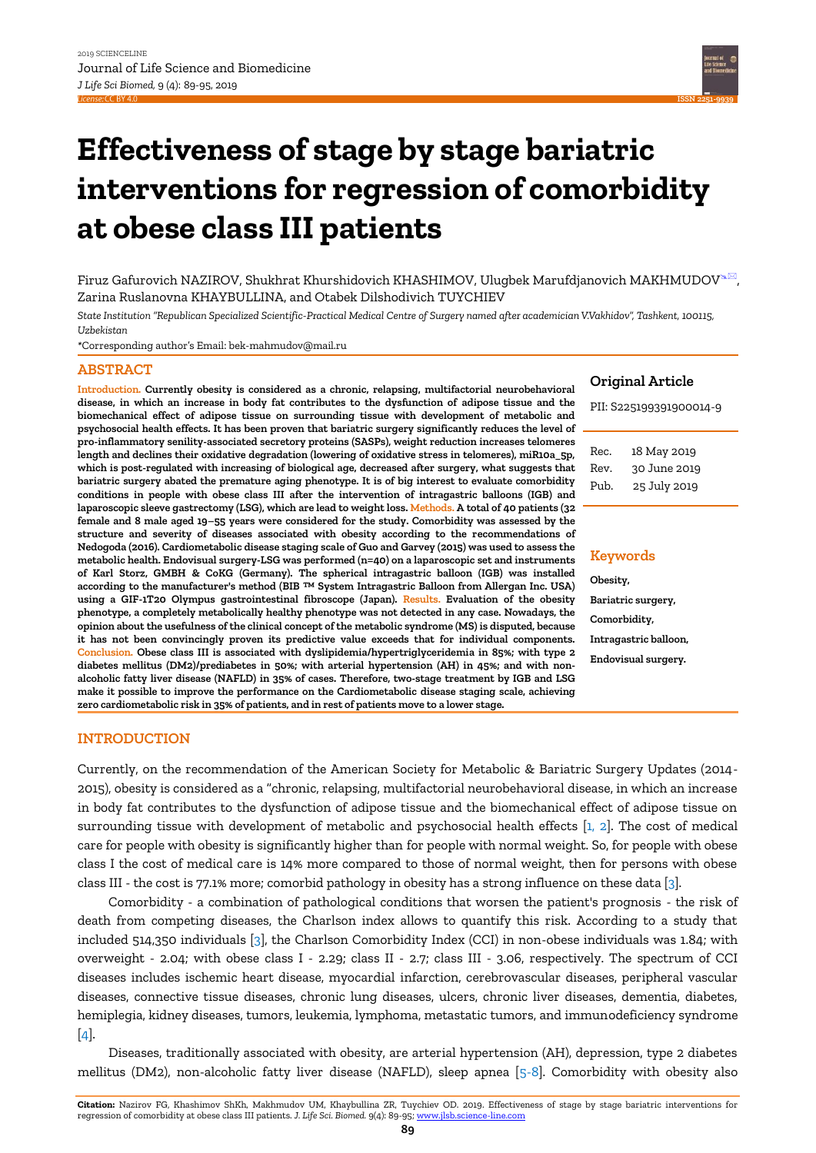

# **Effectiveness of stage by stage bariatric interventions for regression of comorbidity at obese class III patients**

Firuz Gafurovich NAZIROV, Shukhrat Khurshidovich KHASHIMOV, Ulugbek Marufdjanovich MAKHMUDOV<sup>s.</sup>, Zarina Ruslanovna KHAYBULLINA, and Otabek Dilshodivich TUYCHIEV

*State Institution "Republican Specialized Scientific-Practical Medical Centre of Surgery named after academician V.Vakhidov", Tashkent, 100115, Uzbekistan*

*\**Corresponding author's Email: bek-mahmudov@mail.ru

# **ABSTRACT**

**Introduction. Currently obesity is considered as a chronic, relapsing, multifactorial neurobehavioral disease, in which an increase in body fat contributes to the dysfunction of adipose tissue and the biomechanical effect of adipose tissue on surrounding tissue with development of metabolic and psychosocial health effects. It has been proven that bariatric surgery significantly reduces the level of pro-inflammatory senility-associated secretory proteins (SASPs), weight reduction increases telomeres length and declines their oxidative degradation (lowering of oxidative stress in telomeres), miR10a\_5p, which is post-regulated with increasing of biological age, decreased after surgery, what suggests that bariatric surgery abated the premature aging phenotype. It is of big interest to evaluate comorbidity conditions in people with obese class III after the intervention of intragastric balloons (IGB) and laparoscopic sleeve gastrectomy (LSG), which are lead to weight loss. Methods. A total of 40 patients (32 female and 8 male aged 19–55 years were considered for the study. Comorbidity was assessed by the structure and severity of diseases associated with obesity according to the recommendations of Nedogoda (2016). Cardiometabolic disease staging scale of Guo and Garvey (2015) was used to assess the metabolic health. Endovisual surgery-LSG was performed (n=40) on a laparoscopic set and instruments of Karl Storz, GMBH & CoKG (Germany). The spherical intragastric balloon (IGB) was installed according to the manufacturer's method (BIB ™ System Intragastric Balloon from Allergan Inc. USA) using a GIF-1T20 Olympus gastrointestinal fibroscope (Japan). Results. Evaluation of the obesity phenotype, a completely metabolically healthy phenotype was not detected in any case. Nowadays, the opinion about the usefulness of the clinical concept of the metabolic syndrome (MS) is disputed, because it has not been convincingly proven its predictive value exceeds that for individual components. Conclusion. Obese class III is associated with dyslipidemia/hypertriglyceridemia in 85%; with type 2 diabetes mellitus (DM2)/prediabetes in 50%; with arterial hypertension (AH) in 45%; and with nonalcoholic fatty liver disease (NAFLD) in 35% of cases. Therefore, two-stage treatment by IGB and LSG make it possible to improve the performance on the Cardiometabolic disease staging scale, achieving zero cardiometabolic risk in 35% of patients, and in rest of patients move to a lower stage.** 

#### **Original Article**

PII: S225199391900014-9

| Rec. | 18 May 2019  |
|------|--------------|
| Rev. | 30 June 2019 |
| Pub. | 25 July 2019 |

#### **Keywords**

**Obesity, Bariatric surgery, Comorbidity, Intragastric balloon, Endovisual surgery.**

#### **INTRODUCTION**

Currently, on the recommendation of the American Society for Metabolic & Bariatric Surgery Updates (2014- 2015), obesity is considered as a "chronic, relapsing, multifactorial neurobehavioral disease, in which an increase in body fat contributes to the dysfunction of adipose tissue and the biomechanical effect of adipose tissue on surrounding tissue with development of metabolic and psychosocial health effects [\[1, 2\].](#page-6-0) The cost of medical care for people with obesity is significantly higher than for people with normal weight. So, for people with obese class I the cost of medical care is 14% more compared to those of normal weight, then for persons with obese class III - the cost is 77.1% more; comorbid pathology in obesity has a strong influence on these data [\[3\].](#page-6-0)

Comorbidity - a combination of pathological conditions that worsen the patient's prognosis - the risk of death from competing diseases, the Charlson index allows to quantify this risk. According to a study that included 514,350 individuals [\[3\],](#page-6-0) the Charlson Comorbidity Index (CCI) in non-obese individuals was 1.84; with overweight - 2.04; with obese class I - 2.29; class II - 2.7; class III - 3.06, respectively. The spectrum of CCI diseases includes ischemic heart disease, myocardial infarction, cerebrovascular diseases, peripheral vascular diseases, connective tissue diseases, chronic lung diseases, ulcers, chronic liver diseases, dementia, diabetes, hemiplegia, kidney diseases, tumors, leukemia, lymphoma, metastatic tumors, and immunodeficiency syndrome [\[4\].](#page-6-0)

Diseases, traditionally associated with obesity, are arterial hypertension (AH), depression, type 2 diabetes mellitus (DM2), non-alcoholic fatty liver disease (NAFLD), sleep apnea [\[5-8\].](#page-6-0) Comorbidity with obesity also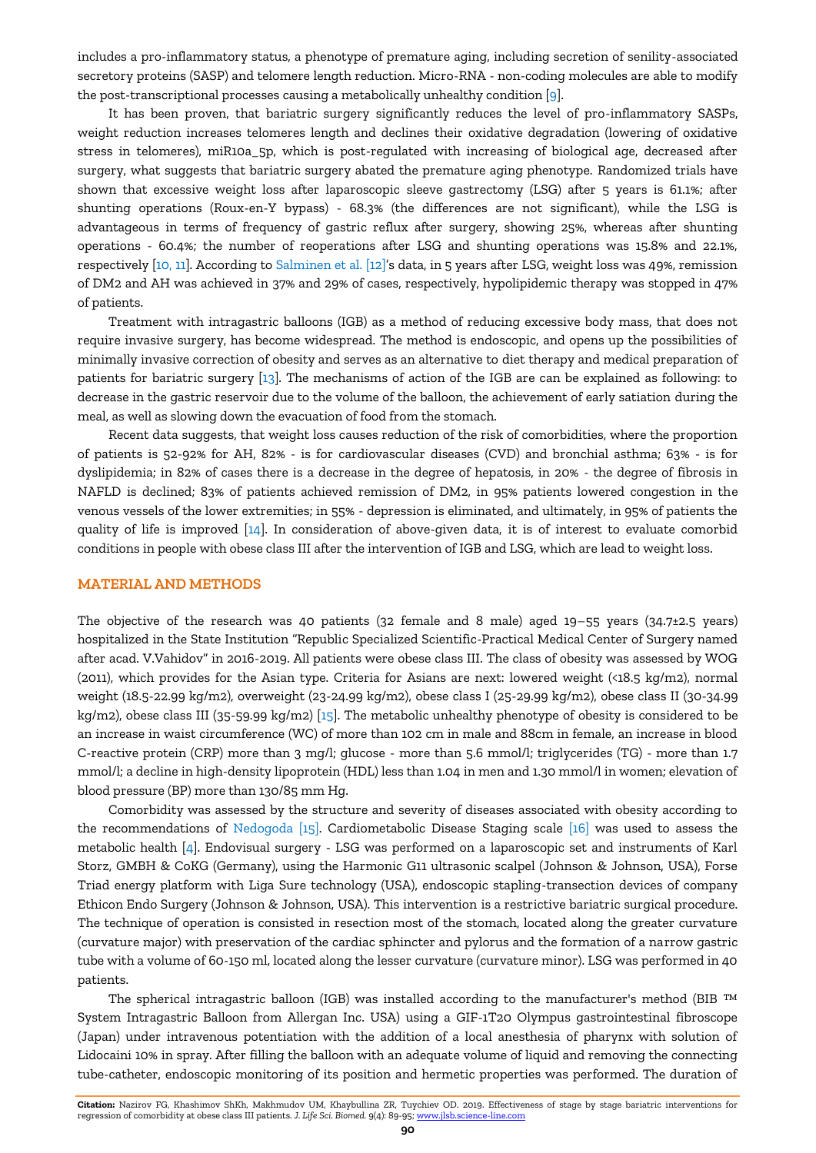includes a pro-inflammatory status, a phenotype of premature aging, including secretion of senility-associated secretory proteins (SASP) and telomere length reduction. Micro-RNA - non-coding molecules are able to modify the post-transcriptional processes causing a metabolically unhealthy condition [\[9\].](#page-6-0)

It has been proven, that bariatric surgery significantly reduces the level of pro-inflammatory SASPs, weight reduction increases telomeres length and declines their oxidative degradation (lowering of oxidative stress in telomeres), miR10a\_5p, which is post-regulated with increasing of biological age, decreased after surgery, what suggests that bariatric surgery abated the premature aging phenotype. Randomized trials have shown that excessive weight loss after laparoscopic sleeve gastrectomy (LSG) after 5 years is 61.1%; after shunting operations (Roux-en-Y bypass) - 68.3% (the differences are not significant), while the LSG is advantageous in terms of frequency of gastric reflux after surgery, showing 25%, whereas after shunting operations - 60.4%; the number of reoperations after LSG and shunting operations was 15.8% and 22.1%, respectively [\[10, 11\].](#page-6-0) According t[o Salminen](#page-6-0) et al. [12]'s data, in 5 years after LSG, weight loss was 49%, remission of DM2 and AH was achieved in 37% and 29% of cases, respectively, hypolipidemic therapy was stopped in 47% of patients.

Treatment with intragastric balloons (IGB) as a method of reducing excessive body mass, that does not require invasive surgery, has become widespread. The method is endoscopic, and opens up the possibilities of minimally invasive correction of obesity and serves as an alternative to diet therapy and medical preparation of patients for bariatric surgery [\[13\].](#page-6-0) The mechanisms of action of the IGB are can be explained as following: to decrease in the gastric reservoir due to the volume of the balloon, the achievement of early satiation during the meal, as well as slowing down the evacuation of food from the stomach.

Recent data suggests, that weight loss causes reduction of the risk of comorbidities, where the proportion of patients is 52-92% for AH, 82% - is for cardiovascular diseases (CVD) and bronchial asthma; 63% - is for dyslipidemia; in 82% of cases there is a decrease in the degree of hepatosis, in 20% - the degree of fibrosis in NAFLD is declined; 83% of patients achieved remission of DM2, in 95% patients lowered congestion in the venous vessels of the lower extremities; in 55% - depression is eliminated, and ultimately, in 95% of patients the quality of life is improved [\[14\]](#page-6-0). In consideration of above-given data, it is of interest to evaluate comorbid conditions in people with obese class III after the intervention of IGB and LSG, which are lead to weight loss.

## **MATERIAL AND METHODS**

The objective of the research was 40 patients (32 female and 8 male) aged  $19-55$  years (34.7±2.5 years) hospitalized in the State Institution "Republic Specialized Scientific-Practical Medical Center of Surgery named after acad. V.Vahidov" in 2016-2019. All patients were obese class III. The class of obesity was assessed by WOG (2011), which provides for the Asian type. Criteria for Asians are next: lowered weight (<18.5 kg/m2), normal weight (18.5-22.99 kg/m2), overweight (23-24.99 kg/m2), obese class I (25-29.99 kg/m2), obese class II (30-34.99 kg/m2), obese class III (35-59.99 kg/m2) [\[15\].](#page-6-0) The metabolic unhealthy phenotype of obesity is considered to be an increase in waist circumference (WC) of more than 102 cm in male and 88cm in female, an increase in blood C-reactive protein (CRP) more than 3 mg/l; glucose - more than 5.6 mmol/l; triglycerides (TG) - more than 1.7 mmol/l; a decline in high-density lipoprotein (HDL) less than 1.04 in men and 1.30 mmol/l in women; elevation of blood pressure (BP) more than 130/85 mm Hg.

Comorbidity was assessed by the structure and severity of diseases associated with obesity according to the recommendations of [Nedogoda](#page-6-0) [15]. Cardiometabolic Disease Staging scale [\[16\]](#page-6-0) was used to assess the metabolic health [\[4\].](#page-6-0) Endovisual surgery - LSG was performed on a laparoscopic set and instruments of Karl Storz, GMBH & CoKG (Germany), using the Harmonic G11 ultrasonic scalpel (Johnson & Johnson, USA), Forse Triad energy platform with Liga Sure technology (USA), endoscopic stapling-transection devices of company Ethicon Endo Surgery (Johnson & Johnson, USA). This intervention is a restrictive bariatric surgical procedure. The technique of operation is consisted in resection most of the stomach, located along the greater curvature (curvature major) with preservation of the cardiac sphincter and pylorus and the formation of a narrow gastric tube with a volume of 60-150 ml, located along the lesser curvature (curvature minor). LSG was performed in 40 patients.

The spherical intragastric balloon (IGB) was installed according to the manufacturer's method (BIB ™ System Intragastric Balloon from Allergan Inc. USA) using a GIF-1T20 Olympus gastrointestinal fibroscope (Japan) under intravenous potentiation with the addition of a local anesthesia of pharynx with solution of Lidocaini 10% in spray. After filling the balloon with an adequate volume of liquid and removing the connecting tube-catheter, endoscopic monitoring of its position and hermetic properties was performed. The duration of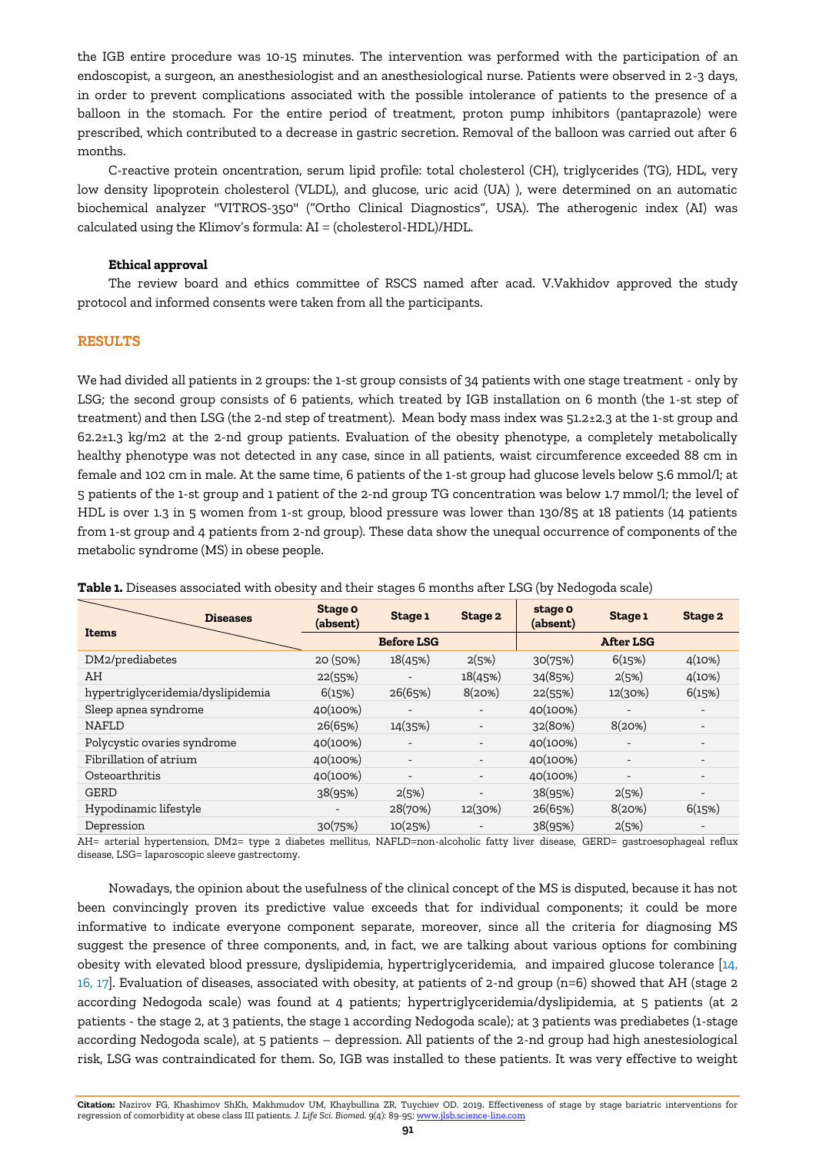the IGB entire procedure was 10-15 minutes. The intervention was performed with the participation of an endoscopist, a surgeon, an anesthesiologist and an anesthesiological nurse. Patients were observed in 2-3 days, in order to prevent complications associated with the possible intolerance of patients to the presence of a balloon in the stomach. For the entire period of treatment, proton pump inhibitors (pantaprazole) were prescribed, which contributed to a decrease in gastric secretion. Removal of the balloon was carried out after 6 months.

C-reactive protein oncentration, serum lipid profile: total cholesterol (CH), triglycerides (TG), HDL, very low density lipoprotein cholesterol (VLDL), and glucose, uric acid (UA) ), were determined on an automatic biochemical analyzer "VITROS-350" ("Ortho Clinical Diagnostics", USA). The atherogenic index (AI) was calculated using the Klimov's formula: AI = (cholesterol-HDL)/HDL.

#### **Ethical approval**

The review board and ethics committee of RSCS named after acad. V.Vakhidov approved the study protocol and informed consents were taken from all the participants.

# **RESULTS**

We had divided all patients in 2 groups: the 1-st group consists of 34 patients with one stage treatment - only by LSG; the second group consists of 6 patients, which treated by IGB installation on 6 month (the 1-st step of treatment) and then LSG (the 2-nd step of treatment). Mean body mass index was 51.2±2.3 at the 1-st group and 62.2±1.3 kg/m2 at the 2-nd group patients. Evaluation of the obesity phenotype, a completely metabolically healthy phenotype was not detected in any case, since in all patients, waist circumference exceeded 88 cm in female and 102 cm in male. At the same time, 6 patients of the 1-st group had glucose levels below 5.6 mmol/l; at 5 patients of the 1-st group and 1 patient of the 2-nd group TG concentration was below 1.7 mmol/l; the level of HDL is over 1.3 in 5 women from 1-st group, blood pressure was lower than 130/85 at 18 patients (14 patients from 1-st group and 4 patients from 2-nd group). These data show the unequal occurrence of components of the metabolic syndrome (MS) in obese people.

| <b>Diseases</b><br>Items          | Stage o<br>(absent) | Stage 1                  | Stage 2                  | stage o<br>(absent) | Stage 1          | Stage 2 |
|-----------------------------------|---------------------|--------------------------|--------------------------|---------------------|------------------|---------|
|                                   |                     | <b>Before LSG</b>        |                          |                     | <b>After LSG</b> |         |
| DM2/prediabetes                   | 20(50%)             | 18(45%)                  | 2(5%)                    | 30(75%)             | 6(15%)           | 4(10%)  |
| AH                                | 22(55%)             |                          | 18(45%)                  | 34(85%)             | 2(5%)            | 4(10%)  |
| hypertriglyceridemia/dyslipidemia | 6(15%)              | 26(65%)                  | 8(20%)                   | 22(55%)             | 12(30%)          | 6(15%)  |
| Sleep apnea syndrome              | 40(100%)            |                          |                          | 40(100%)            |                  |         |
| <b>NAFLD</b>                      | 26(65%)             | 14(35%)                  |                          | 32(80%)             | 8(20%)           |         |
| Polycystic ovaries syndrome       | 40(100%)            |                          |                          | 40(100%)            |                  |         |
| Fibrillation of atrium            | 40(100%)            |                          |                          | 40(100%)            |                  |         |
| Osteoarthritis                    | 40(100%)            | $\overline{\phantom{a}}$ | $\overline{\phantom{a}}$ | 40(100%)            |                  |         |
| <b>GERD</b>                       | 38(95%)             | 2(5%)                    |                          | 38(95%)             | 2(5%)            |         |
| Hypodinamic lifestyle             |                     | 28(70%)                  | 12(30%)                  | 26(65%)             | 8(20%)           | 6(15%)  |
| Depression                        | 30(75%)             | 10(25%)                  |                          | 38(95%)             | 2(5%)            |         |

**Table 1.** Diseases associated with obesity and their stages 6 months after LSG (by Nedogoda scale)

AH= arterial hypertension, DM2= type 2 diabetes mellitus, NAFLD=non-alcoholic fatty liver disease, GERD= gastroesophageal reflux disease, LSG= laparoscopic sleeve gastrectomy.

Nowadays, the opinion about the usefulness of the clinical concept of the MS is disputed, because it has not been convincingly proven its predictive value exceeds that for individual components; it could be more informative to indicate everyone component separate, moreover, since all the criteria for diagnosing MS suggest the presence of three components, and, in fact, we are talking about various options for combining obesity with elevated blood pressure, dyslipidemia, hypertriglyceridemia, and impaired glucose tolerance [\[14,](#page-6-0) [16, 17\].](#page-6-0) Evaluation of diseases, associated with obesity, at patients of 2-nd group (n=6) showed that AH (stage 2 according Nedogoda scale) was found at 4 patients; hypertriglyceridemia/dyslipidemia, at 5 patients (at 2 patients - the stage 2, at 3 patients, the stage 1 according Nedogoda scale); at 3 patients was prediabetes (1-stage according Nedogoda scale), at 5 patients – depression. All patients of the 2-nd group had high anestesiological risk, LSG was contraindicated for them. So, IGB was installed to these patients. It was very effective to weight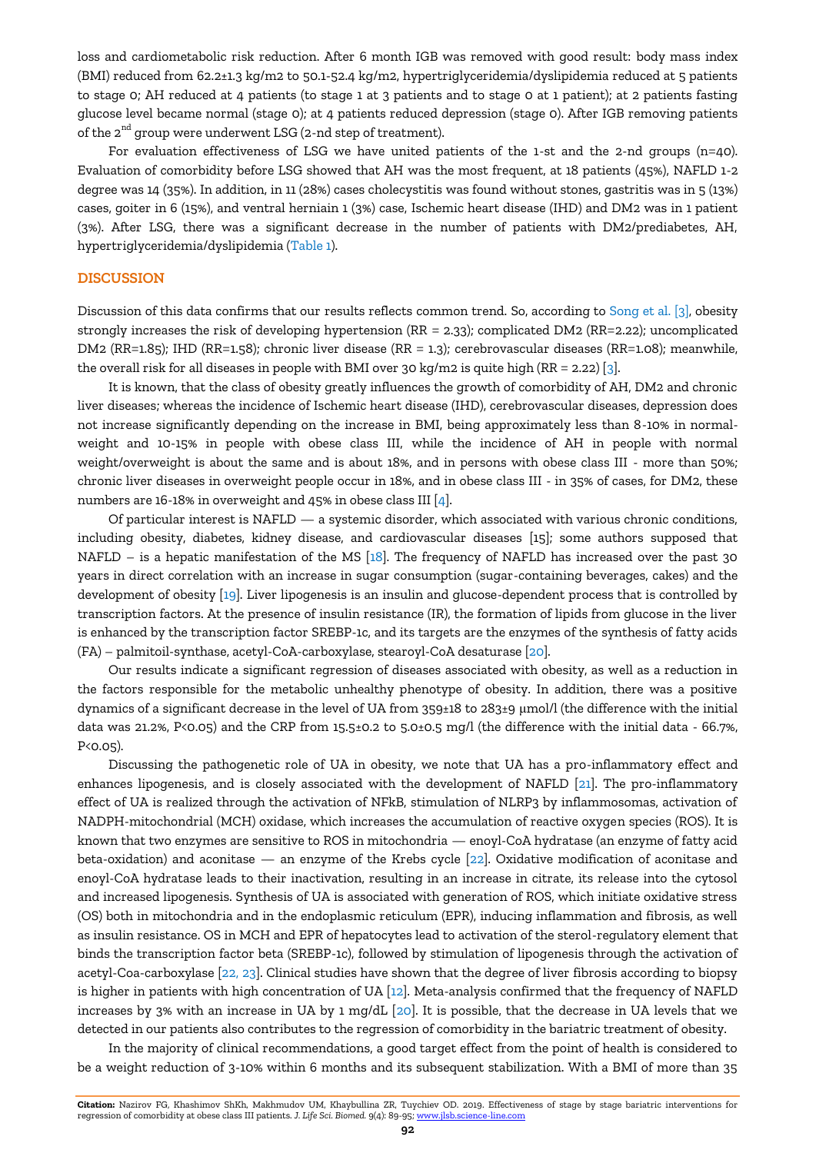loss and cardiometabolic risk reduction. After 6 month IGB was removed with good result: body mass index (BMI) reduced from 62.2±1.3 kg/m2 to 50.1-52.4 kg/m2, hypertriglyceridemia/dyslipidemia reduced at 5 patients to stage 0; AH reduced at 4 patients (to stage 1 at 3 patients and to stage 0 at 1 patient); at 2 patients fasting glucose level became normal (stage 0); at 4 patients reduced depression (stage 0). After IGB removing patients of the  $2^{nd}$  group were underwent LSG (2-nd step of treatment).

For evaluation effectiveness of LSG we have united patients of the 1-st and the 2-nd groups (n=40). Evaluation of comorbidity before LSG showed that AH was the most frequent, at 18 patients (45%), NAFLD 1-2 degree was 14 (35%). In addition, in 11 (28%) cases cholecystitis was found without stones, gastritis was in 5 (13%) cases, goiter in 6 (15%), and ventral herniain 1 (3%) case, Ischemic heart disease (IHD) and DM2 was in 1 patient (3%). After LSG, there was a significant decrease in the number of patients with DM2/prediabetes, AH, hypertriglyceridemia/dyslipidemia (Table 1).

### **DISCUSSION**

Discussion of this data confirms that our results reflects common trend. So, according to [Song et al. \[3\],](#page-6-0) obesity strongly increases the risk of developing hypertension (RR = 2.33); complicated DM2 (RR=2.22); uncomplicated DM2 (RR=1.85); IHD (RR=1.58); chronic liver disease (RR = 1.3); cerebrovascular diseases (RR=1.08); meanwhile, the overall risk for all diseases in people with BMI over 30 kg/m2 is quite high  $(RR = 2.22)$  [3].

It is known, that the class of obesity greatly influences the growth of comorbidity of AH, DM2 and chronic liver diseases; whereas the incidence of Ischemic heart disease (IHD), cerebrovascular diseases, depression does not increase significantly depending on the increase in BMI, being approximately less than 8-10% in normalweight and 10-15% in people with obese class III, while the incidence of AH in people with normal weight/overweight is about the same and is about 18%, and in persons with obese class III - more than 50%; chronic liver diseases in overweight people occur in 18%, and in obese class III - in 35% of cases, for DM2, these numbers are 16-18% in overweight and 45% in obese class III [\[4\].](#page-6-0)

Of particular interest is NAFLD — a systemic disorder, which associated with various chronic conditions, including obesity, diabetes, kidney disease, and cardiovascular diseases [15]; some authors supposed that NAFLD – is a hepatic manifestation of the MS  $[18]$ . The frequency of NAFLD has increased over the past 30 years in direct correlation with an increase in sugar consumption (sugar-containing beverages, cakes) and the development of obesity [\[19\]](#page-6-0). Liver lipogenesis is an insulin and glucose-dependent process that is controlled by transcription factors. At the presence of insulin resistance (IR), the formation of lipids from glucose in the liver is enhanced by the transcription factor SREBP-1c, and its targets are the enzymes of the synthesis of fatty acids (FA) – palmitoil-synthase, acetyl-CoA-carboxylase, stearoyl-CoA desaturase [\[20\]](#page-6-0).

Our results indicate a significant regression of diseases associated with obesity, as well as a reduction in the factors responsible for the metabolic unhealthy phenotype of obesity. In addition, there was a positive dynamics of a significant decrease in the level of UA from 359±18 to 283±9 μmol/l (the difference with the initial data was 21.2%, P<0.05) and the CRP from 15.5±0.2 to 5.0±0.5 mg/l (the difference with the initial data - 66.7%, P<0.05).

Discussing the pathogenetic role of UA in obesity, we note that UA has a pro-inflammatory effect and enhances lipogenesis, and is closely associated with the development of NAFLD [\[21\].](#page-6-0) The pro-inflammatory effect of UA is realized through the activation of NFkB, stimulation of NLRP3 by inflammosomas, activation of NADPH-mitochondrial (MCH) oxidase, which increases the accumulation of reactive oxygen species (ROS). It is known that two enzymes are sensitive to ROS in mitochondria — enoyl-CoA hydratase (an enzyme of fatty acid beta-oxidation) and aconitase — an enzyme of the Krebs cycle [\[22\]](#page-6-0). Oxidative modification of aconitase and enoyl-CoA hydratase leads to their inactivation, resulting in an increase in citrate, its release into the cytosol and increased lipogenesis. Synthesis of UA is associated with generation of ROS, which initiate oxidative stress (OS) both in mitochondria and in the endoplasmic reticulum (EPR), inducing inflammation and fibrosis, as well as insulin resistance. OS in MCH and EPR of hepatocytes lead to activation of the sterol-regulatory element that binds the transcription factor beta (SREBP-1c), followed by stimulation of lipogenesis through the activation of acetyl-Coa-carboxylase [\[22, 23\].](#page-6-0) Clinical studies have shown that the degree of liver fibrosis according to biopsy is higher in patients with high concentration of UA [\[12\].](#page-6-0) Meta-analysis confirmed that the frequency of NAFLD increases by 3% with an increase in UA by 1 mg/dL [\[20\]](#page-6-0). It is possible, that the decrease in UA levels that we detected in our patients also contributes to the regression of comorbidity in the bariatric treatment of obesity.

In the majority of clinical recommendations, a good target effect from the point of health is considered to be a weight reduction of 3-10% within 6 months and its subsequent stabilization. With a BMI of more than 35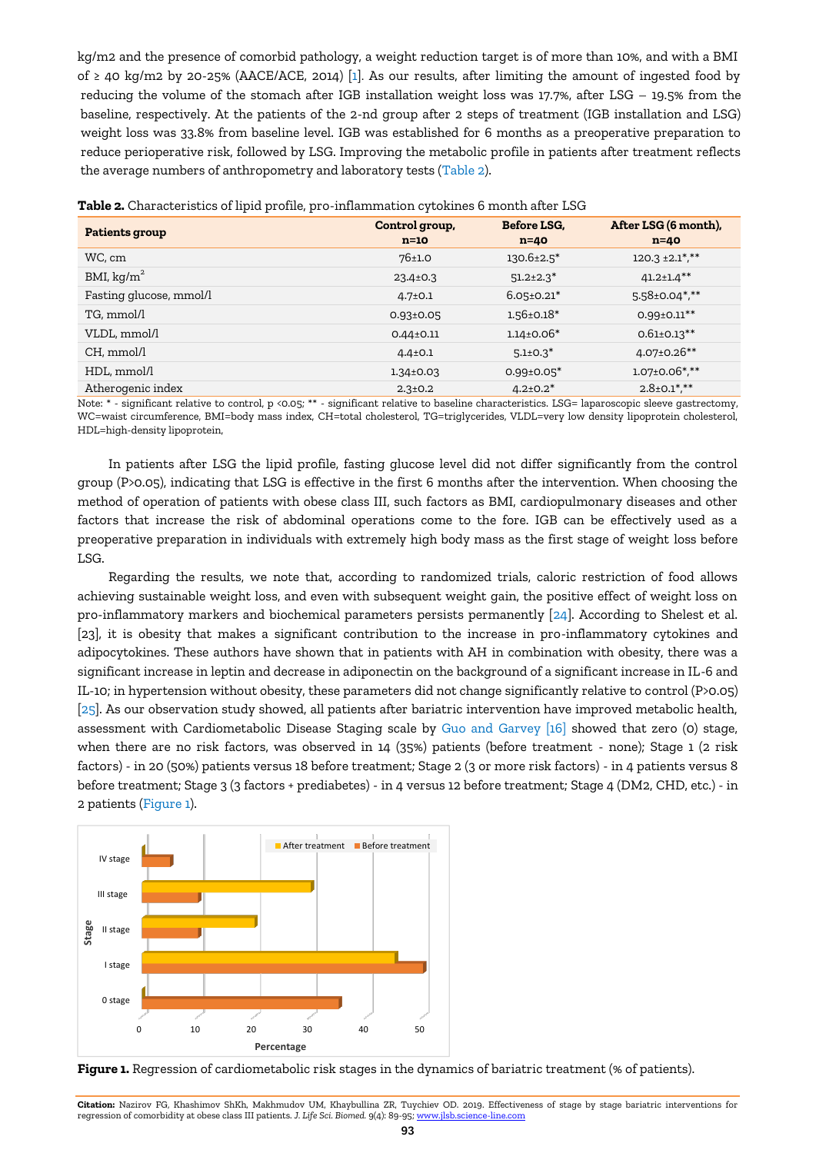kg/m2 and the presence of comorbid pathology, a weight reduction target is of more than 10%, and with a BMI of ≥ 40 kg/m2 by 20-25% (AACE/ACE, 2014) [\[1\]](#page-6-0). As our results, after limiting the amount of ingested food by reducing the volume of the stomach after IGB installation weight loss was 17.7%, after LSG – 19.5% from the baseline, respectively. At the patients of the 2-nd group after 2 steps of treatment (IGB installation and LSG) weight loss was 33.8% from baseline level. IGB was established for 6 months as a preoperative preparation to reduce perioperative risk, followed by LSG. Improving the metabolic profile in patients after treatment reflects the average numbers of anthropometry and laboratory tests (Table 2).

| <b>Patients group</b>   | Control group,<br>$n=10$ | Before LSG.<br>$n=40$ | After LSG (6 month),<br>$n=40$ |  |  |  |  |
|-------------------------|--------------------------|-----------------------|--------------------------------|--|--|--|--|
| WC, cm                  | 76±1.0                   | $130.6 \pm 2.5^*$     | $120.3 \pm 2.1$ ***            |  |  |  |  |
| BMI, kg/ $m^2$          | $23.4 \pm 0.3$           | $51.2 \pm 2.3$ *      | $41.2 \pm 1.4$ **              |  |  |  |  |
| Fasting glucose, mmol/l | $4.7 \pm 0.1$            | $6.05 \pm 0.21$ *     | $5.58 \pm 0.04$ *,**           |  |  |  |  |
| TG, mmol/l              | $0.93 \pm 0.05$          | $1.56 \pm 0.18^*$     | $0.99 \pm 0.11***$             |  |  |  |  |
| VLDL, mmol/l            | $0.44 \pm 0.11$          | $1.14 \pm 0.06*$      | $0.61 \pm 0.13$ **             |  |  |  |  |
| CH, mmol/l              | $4.4 \pm 0.1$            | $5.1 \pm 0.3^*$       | $4.07 \pm 0.26$ **             |  |  |  |  |
| HDL, mmol/l             | $1.34 \pm 0.03$          | $0.99 \pm 0.05$ *     | $1.07 \pm 0.06$ *,**           |  |  |  |  |
| Atherogenic index       | $2.3 \pm 0.2$            | $4.2 \pm 0.2^*$       | $2.8 \pm 0.1$ *,**             |  |  |  |  |

Note: \* - significant relative to control, p <0.05; \*\* - significant relative to baseline characteristics. LSG= laparoscopic sleeve gastrectomy, WC=waist circumference, BMI=body mass index, CH=total cholesterol, TG=triglycerides, VLDL=very low density lipoprotein cholesterol, HDL=high-density lipoprotein,

In patients after LSG the lipid profile, fasting glucose level did not differ significantly from the control group (P>0.05), indicating that LSG is effective in the first 6 months after the intervention. When choosing the method of operation of patients with obese class III, such factors as BMI, cardiopulmonary diseases and other factors that increase the risk of abdominal operations come to the fore. IGB can be effectively used as a preoperative preparation in individuals with extremely high body mass as the first stage of weight loss before LSG.

Regarding the results, we note that, according to randomized trials, caloric restriction of food allows achieving sustainable weight loss, and even with subsequent weight gain, the positive effect of weight loss on pro-inflammatory markers and biochemical parameters persists permanently [\[24\]](#page-6-0). According to Shelest et al. [23], it is obesity that makes a significant contribution to the increase in pro-inflammatory cytokines and adipocytokines. These authors have shown that in patients with AH in combination with obesity, there was a significant increase in leptin and decrease in adiponectin on the background of a significant increase in IL-6 and IL-10; in hypertension without obesity, these parameters did not change significantly relative to control (P>0.05) [\[25\].](#page-6-0) As our observation study showed, all patients after bariatric intervention have improved metabolic health, assessment with Cardiometabolic Disease Staging scale by Guo [and Garvey](#page-6-0) [16] showed that zero (0) stage, when there are no risk factors, was observed in 14 (35%) patients (before treatment - none); Stage 1 (2 risk factors) - in 20 (50%) patients versus 18 before treatment; Stage 2 (3 or more risk factors) - in 4 patients versus 8 before treatment; Stage 3 (3 factors + prediabetes) - in 4 versus 12 before treatment; Stage 4 (DM2, CHD, etc.) - in 2 patients (Figure 1).



**Figure 1.** Regression of cardiometabolic risk stages in the dynamics of bariatric treatment (% of patients).

**Citation:** Nazirov FG, Khashimov ShKh, Makhmudov UM, Khaybullina ZR, Tuychiev OD. 2019. Effectiveness of stage by stage bariatric interventions for regression of comorbidity at obese class III patients. *J. Life Sci. Biomed.* 9(4): 89-95[; www.jlsb.science-line.com](http://www.jlsb.science-line.com/)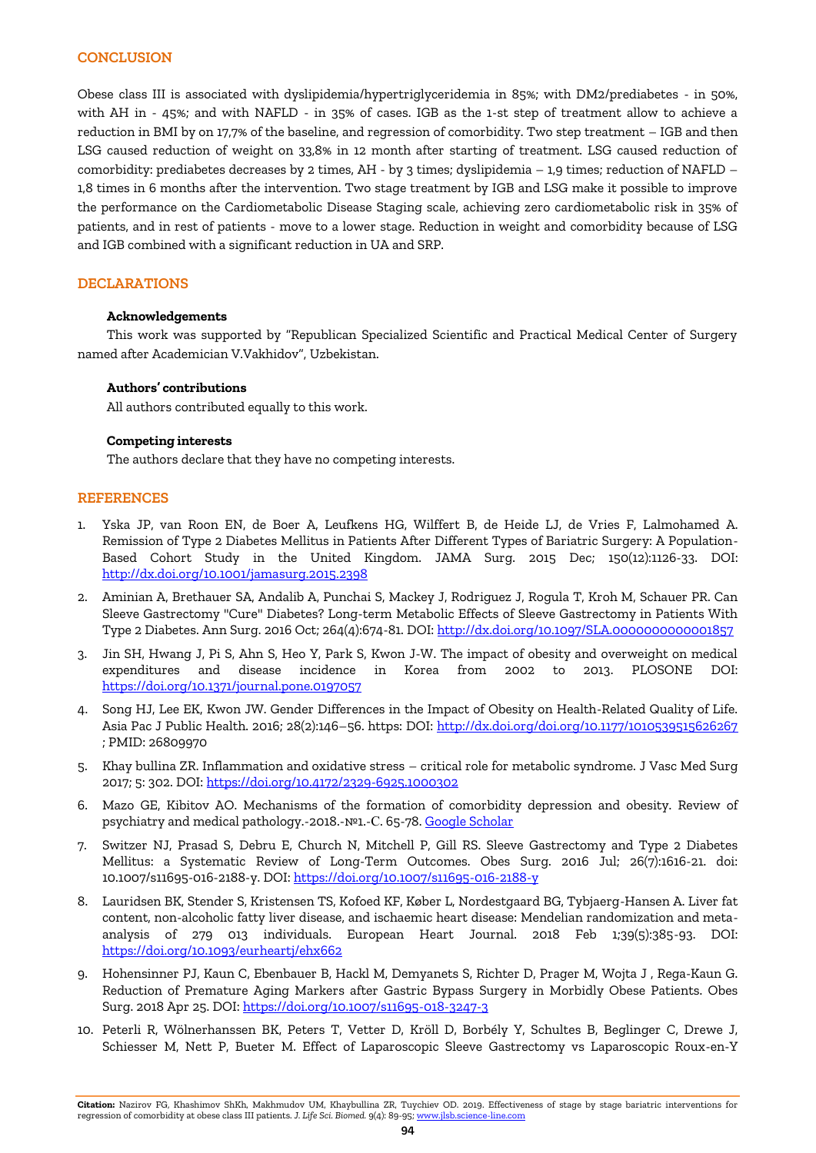# **CONCLUSION**

Obese class III is associated with dyslipidemia/hypertriglyceridemia in 85%; with DM2/prediabetes - in 50%, with AH in - 45%; and with NAFLD - in 35% of cases. IGB as the 1-st step of treatment allow to achieve a reduction in BMI by on 17,7% of the baseline, and regression of comorbidity. Two step treatment – IGB and then LSG caused reduction of weight on 33,8% in 12 month after starting of treatment. LSG caused reduction of comorbidity: prediabetes decreases by 2 times, AH - by 3 times; dyslipidemia – 1,9 times; reduction of NAFLD – 1,8 times in 6 months after the intervention. Two stage treatment by IGB and LSG make it possible to improve the performance on the Cardiometabolic Disease Staging scale, achieving zero cardiometabolic risk in 35% of patients, and in rest of patients - move to a lower stage. Reduction in weight and comorbidity because of LSG and IGB combined with a significant reduction in UA and SRP.

# **DECLARATIONS**

# **Acknowledgements**

This work was supported by "Republican Specialized Scientific and Practical Medical Center of Surgery named after Academician V.Vakhidov", Uzbekistan.

## **Authors' contributions**

All authors contributed equally to this work.

## **Competing interests**

The authors declare that they have no competing interests.

## **REFERENCES**

- 1. [Yska JP,](https://www.ncbi.nlm.nih.gov/pubmed/?term=Yska%20JP%5BAuthor%5D&cauthor=true&cauthor_uid=26422580) [van Roon EN,](https://www.ncbi.nlm.nih.gov/pubmed/?term=van%20Roon%20EN%5BAuthor%5D&cauthor=true&cauthor_uid=26422580) [de Boer](https://www.ncbi.nlm.nih.gov/pubmed/?term=de%20Boer%20A%5BAuthor%5D&cauthor=true&cauthor_uid=26422580) A, [Leufkens HG,](https://www.ncbi.nlm.nih.gov/pubmed/?term=Leufkens%20HG%5BAuthor%5D&cauthor=true&cauthor_uid=26422580) [Wilffert B,](https://www.ncbi.nlm.nih.gov/pubmed/?term=Wilffert%20B%5BAuthor%5D&cauthor=true&cauthor_uid=26422580) [de Heide LJ,](https://www.ncbi.nlm.nih.gov/pubmed/?term=de%20Heide%20LJ%5BAuthor%5D&cauthor=true&cauthor_uid=26422580) [de Vries F,](https://www.ncbi.nlm.nih.gov/pubmed/?term=de%20Vries%20F%5BAuthor%5D&cauthor=true&cauthor_uid=26422580) [Lalmohamed A.](https://www.ncbi.nlm.nih.gov/pubmed/?term=Lalmohamed%20A%5BAuthor%5D&cauthor=true&cauthor_uid=26422580)  Remission of Type 2 Diabetes Mellitus in Patients After Different Types of Bariatric Surgery: A Population-Based Cohort Study in the United Kingdom. [JAMA Surg.](https://www.ncbi.nlm.nih.gov/pubmed/26422580) 2015 Dec; 150(12):1126-33. DOI: <http://dx.doi.org/10.1001/jamasurg.2015.2398>
- 2. [Aminian A,](https://www.ncbi.nlm.nih.gov/pubmed/?term=Aminian%20A%5BAuthor%5D&cauthor=true&cauthor_uid=27433906) [Brethauer SA,](https://www.ncbi.nlm.nih.gov/pubmed/?term=Brethauer%20SA%5BAuthor%5D&cauthor=true&cauthor_uid=27433906) [Andalib A,](https://www.ncbi.nlm.nih.gov/pubmed/?term=Andalib%20A%5BAuthor%5D&cauthor=true&cauthor_uid=27433906) [Punchai S,](https://www.ncbi.nlm.nih.gov/pubmed/?term=Punchai%20S%5BAuthor%5D&cauthor=true&cauthor_uid=27433906) [Mackey J,](https://www.ncbi.nlm.nih.gov/pubmed/?term=Mackey%20J%5BAuthor%5D&cauthor=true&cauthor_uid=27433906) [Rodriguez J,](https://www.ncbi.nlm.nih.gov/pubmed/?term=Rodriguez%20J%5BAuthor%5D&cauthor=true&cauthor_uid=27433906) [Rogula T,](https://www.ncbi.nlm.nih.gov/pubmed/?term=Rogula%20T%5BAuthor%5D&cauthor=true&cauthor_uid=27433906) [Kroh M,](https://www.ncbi.nlm.nih.gov/pubmed/?term=Kroh%20M%5BAuthor%5D&cauthor=true&cauthor_uid=27433906) [Schauer PR.](https://www.ncbi.nlm.nih.gov/pubmed/?term=Schauer%20PR%5BAuthor%5D&cauthor=true&cauthor_uid=27433906) Can Sleeve Gastrectomy "Cure" Diabetes? Long-term Metabolic Effects of Sleeve Gastrectomy in Patients With Type 2 Diabetes. [Ann Surg.](https://www.ncbi.nlm.nih.gov/pubmed/27433906) 2016 Oct; 264(4):674-81. DOI:<http://dx.doi.org/10.1097/SLA.0000000000001857>
- 3. Jin SH, Hwang J, Pi S, Ahn S, Heo Y, Park S, Kwon J-W. The impact of obesity and overweight on medical expenditures and disease incidence in Korea from 2002 to 2013. PLOSONE DOI: <https://doi.org/10.1371/journal.pone.0197057>
- 4. Song HJ, Lee EK, Kwon JW. Gender Differences in the Impact of Obesity on Health-Related Quality of Life. Asia Pac J Public Health. 2016; 28(2):146–56. https: DOI:<http://dx.doi.org/doi.org/10.1177/1010539515626267> ; PMID: 26809970
- 5. Khay bullina ZR. Inflammation and oxidative stress critical role for metabolic syndrome. J Vasc Med Surg 2017; 5: 302. DOI[: https://doi.org/10.4172/2329-6925.1000302](https://doi.org/10.4172/2329-6925.1000302)
- 6. Mazo GE, Kibitov AO. Mechanisms of the formation of comorbidity depression and obesity. Review of psychiatry and medical pathology.-2018.-№1.-С. 65-78. [Google Scholar](https://scholar.google.com/scholar?hl=en&as_sdt=0%2C5&q=6.%09Mazo+GE%2C+Kibitov+AO.+Mechanisms+of+the+formation+of+comorbidity+depression+and+obesity.+Review+of+psychiatry+and+medical+pathology.-2018.-%E2%84%961.-%D0%A1.+65-78.&btnG=)
- 7. [Switzer NJ,](https://www.ncbi.nlm.nih.gov/pubmed/?term=Switzer%20NJ%5BAuthor%5D&cauthor=true&cauthor_uid=27103028) [Prasad S,](https://www.ncbi.nlm.nih.gov/pubmed/?term=Prasad%20S%5BAuthor%5D&cauthor=true&cauthor_uid=27103028) [Debru E,](https://www.ncbi.nlm.nih.gov/pubmed/?term=Debru%20E%5BAuthor%5D&cauthor=true&cauthor_uid=27103028) [Church N,](https://www.ncbi.nlm.nih.gov/pubmed/?term=Church%20N%5BAuthor%5D&cauthor=true&cauthor_uid=27103028) [Mitchell P,](https://www.ncbi.nlm.nih.gov/pubmed/?term=Mitchell%20P%5BAuthor%5D&cauthor=true&cauthor_uid=27103028) [Gill RS.](https://www.ncbi.nlm.nih.gov/pubmed/?term=Gill%20RS%5BAuthor%5D&cauthor=true&cauthor_uid=27103028) Sleeve Gastrectomy and Type 2 Diabetes Mellitus: a Systematic Review of Long-Term Outcomes. [Obes Surg.](https://www.ncbi.nlm.nih.gov/pubmed/27103028) 2016 Jul; 26(7):1616-21. doi: 10.1007/s11695-016-2188-y. DOI[: https://doi.org/10.1007/s11695-016-2188-y](https://doi.org/10.1007/s11695-016-2188-y)
- 8. Lauridsen BK, Stender S, Kristensen TS, Kofoed KF, Køber L, Nordestgaard BG, Tybjaerg-Hansen A. Liver fat content, non-alcoholic fatty liver disease, and ischaemic heart disease: Mendelian randomization and metaanalysis of 279 013 individuals. European Heart Journal. 2018 Feb 1;39(5):385-93. DOI: <https://doi.org/10.1093/eurheartj/ehx662>
- 9. [Hohensinner PJ,](https://www.ncbi.nlm.nih.gov/pubmed/?term=Hohensinner%20PJ%5BAuthor%5D&cauthor=true&cauthor_uid=29693219) [Kaun C,](https://www.ncbi.nlm.nih.gov/pubmed/?term=Kaun%20C%5BAuthor%5D&cauthor=true&cauthor_uid=29693219) [Ebenbauer B,](https://www.ncbi.nlm.nih.gov/pubmed/?term=Ebenbauer%20B%5BAuthor%5D&cauthor=true&cauthor_uid=29693219) [Hackl M,](https://www.ncbi.nlm.nih.gov/pubmed/?term=Hackl%20M%5BAuthor%5D&cauthor=true&cauthor_uid=29693219) [Demyanets S,](https://www.ncbi.nlm.nih.gov/pubmed/?term=Demyanets%20S%5BAuthor%5D&cauthor=true&cauthor_uid=29693219) [Richter D,](https://www.ncbi.nlm.nih.gov/pubmed/?term=Richter%20D%5BAuthor%5D&cauthor=true&cauthor_uid=29693219) [Prager M,](https://www.ncbi.nlm.nih.gov/pubmed/?term=Prager%20M%5BAuthor%5D&cauthor=true&cauthor_uid=29693219) [Wojta J](https://www.ncbi.nlm.nih.gov/pubmed/?term=Wojta%20J%5BAuthor%5D&cauthor=true&cauthor_uid=29693219) , [Rega-Kaun G.](https://www.ncbi.nlm.nih.gov/pubmed/?term=Rega-Kaun%20G%5BAuthor%5D&cauthor=true&cauthor_uid=29693219)  Reduction of Premature Aging Markers after Gastric Bypass Surgery in Morbidly Obese Patients. [Obes](https://www.ncbi.nlm.nih.gov/pubmed/29693219)  [Surg.](https://www.ncbi.nlm.nih.gov/pubmed/29693219) 2018 Apr 25. DOI[: https://doi.org/10.1007/s11695-018-3247-3](https://doi.org/10.1007/s11695-018-3247-3)
- 10. [Peterli R,](https://www.ncbi.nlm.nih.gov/pubmed/?term=Peterli%20R%5BAuthor%5D&cauthor=true&cauthor_uid=29340679) [Wölnerhanssen BK,](https://www.ncbi.nlm.nih.gov/pubmed/?term=W%C3%B6lnerhanssen%20BK%5BAuthor%5D&cauthor=true&cauthor_uid=29340679) [Peters T,](https://www.ncbi.nlm.nih.gov/pubmed/?term=Peters%20T%5BAuthor%5D&cauthor=true&cauthor_uid=29340679) [Vetter D,](https://www.ncbi.nlm.nih.gov/pubmed/?term=Vetter%20D%5BAuthor%5D&cauthor=true&cauthor_uid=29340679) [Kröll D,](https://www.ncbi.nlm.nih.gov/pubmed/?term=Kr%C3%B6ll%20D%5BAuthor%5D&cauthor=true&cauthor_uid=29340679) [Borbély Y,](https://www.ncbi.nlm.nih.gov/pubmed/?term=Borb%C3%A9ly%20Y%5BAuthor%5D&cauthor=true&cauthor_uid=29340679) [Schultes B,](https://www.ncbi.nlm.nih.gov/pubmed/?term=Schultes%20B%5BAuthor%5D&cauthor=true&cauthor_uid=29340679) [Beglinger C,](https://www.ncbi.nlm.nih.gov/pubmed/?term=Beglinger%20C%5BAuthor%5D&cauthor=true&cauthor_uid=29340679) [Drewe J,](https://www.ncbi.nlm.nih.gov/pubmed/?term=Drewe%20J%5BAuthor%5D&cauthor=true&cauthor_uid=29340679)  [Schiesser M,](https://www.ncbi.nlm.nih.gov/pubmed/?term=Schiesser%20M%5BAuthor%5D&cauthor=true&cauthor_uid=29340679) [Nett P,](https://www.ncbi.nlm.nih.gov/pubmed/?term=Nett%20P%5BAuthor%5D&cauthor=true&cauthor_uid=29340679) [Bueter M.](https://www.ncbi.nlm.nih.gov/pubmed/?term=Bueter%20M%5BAuthor%5D&cauthor=true&cauthor_uid=29340679) Effect of Laparoscopic Sleeve Gastrectomy vs Laparoscopic Roux-en-Y

**Citation:** Nazirov FG, Khashimov ShKh, Makhmudov UM, Khaybullina ZR, Tuychiev OD. 2019. Effectiveness of stage by stage bariatric interventions for regression of comorbidity at obese class III patients. *J. Life Sci. Biomed.* 9(4): 89-95[; www.jlsb.science-line.com](http://www.jlsb.science-line.com/)